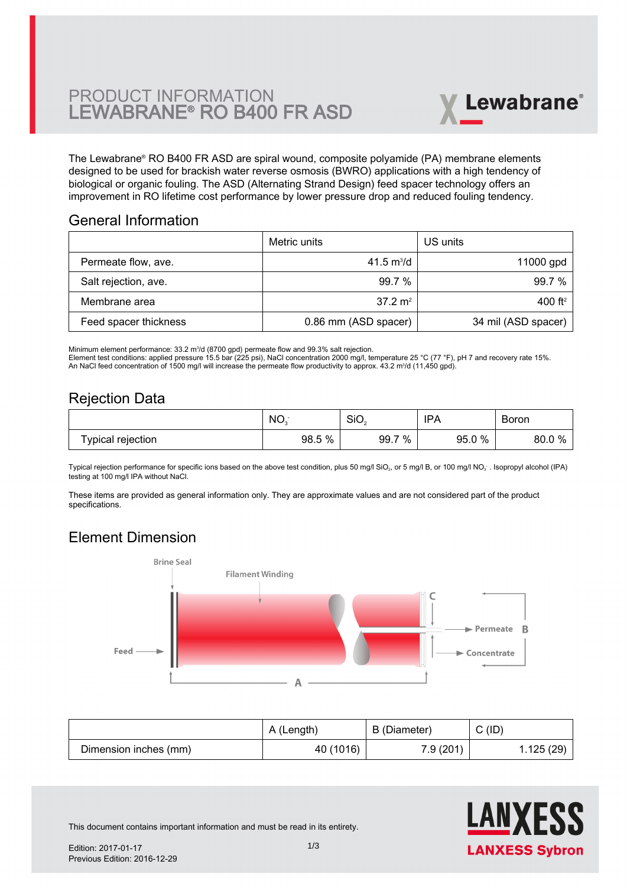# PRODUCT INFORMATION LEWABRANE® RO B400 FR ASD



The Lewabrane® RO B400 FR ASD are spiral wound, composite polyamide (PA) membrane elements [designed to be used for brackish water reverse osmosis \(BWRO\) applications with a high tendency of](https://www.pureaqua.com/lanxess-lewabrane-b400-fr-asd-membrane/) biological or organic fouling. The ASD (Alternating Strand Design) feed spacer technology offers an improvement in RO lifetime cost performance by lower pressure drop and reduced fouling tendency.

#### General Information

|                       | Metric units         | US units            |
|-----------------------|----------------------|---------------------|
| Permeate flow, ave.   | 41.5 $m^3/d$         | 11000 gpd           |
| Salt rejection, ave.  | 99.7%                | 99.7%               |
| Membrane area         | $37.2 \text{ m}^2$   | 400 ft <sup>2</sup> |
| Feed spacer thickness | 0.86 mm (ASD spacer) | 34 mil (ASD spacer) |

Minimum element performance: 33.2 m<sup>3</sup>/d (8700 gpd) permeate flow and 99.3% salt rejection. Element test conditions: applied pressure 15.5 bar (225 psi), NaCl concentration 2000 mg/l, temperature 25 °C (77 °F), pH 7 and recovery rate 15%. An NaCl feed concentration of 1500 mg/l will increase the permeate flow productivity to approx. 43.2 m<sup>3</sup>/d (11,450 gpd).

### Rejection Data

|                   | NO <sub>3</sub> | SiO <sub>2</sub> | <b>IPA</b> | Boron                      |
|-------------------|-----------------|------------------|------------|----------------------------|
| Typical rejection | 98.5 %          | 7 %<br>99.7      | 95.0%      | $\bigcap$ 0/<br>80.0<br>70 |

Typical rejection performance for specific ions based on the above test condition, plus 50 mg/l SiO $_2$ , or 5 mg/l B, or 100 mg/l NO $_3$  . Isopropyl alcohol (IPA) testing at 100 mg/l IPA without NaCl.

These items are provided as general information only. They are approximate values and are not considered part of the product specifications.

# Element Dimension



|                       | A (Length) | B (Diameter) | C(ID)     |
|-----------------------|------------|--------------|-----------|
| Dimension inches (mm) | 40 (1016)  | 7.9 (201)    | 1.125(29) |



This document contains important information and must be read in its entirety.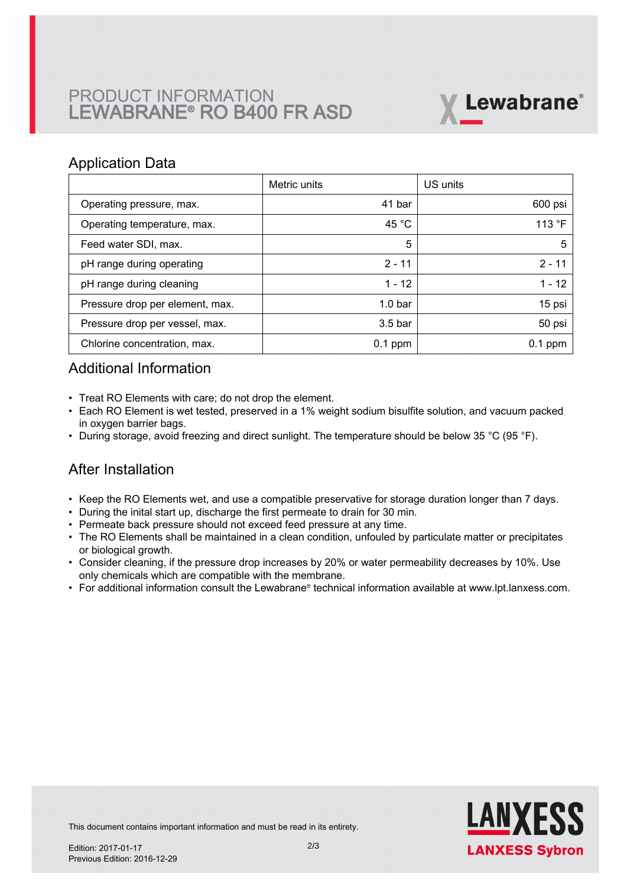# PRODUCT INFORMATION LEWABRANE® RO B400 FR ASD



#### Application Data

|                                 | Metric units | US units  |
|---------------------------------|--------------|-----------|
| Operating pressure, max.        | 41 bar       | 600 psi   |
| Operating temperature, max.     | 45 °C        | 113 °F    |
| Feed water SDI, max.            | 5            | 5         |
| pH range during operating       | $2 - 11$     | $2 - 11$  |
| pH range during cleaning        | $1 - 12$     | $1 - 12$  |
| Pressure drop per element, max. | $1.0b$ ar    | 15 psi    |
| Pressure drop per vessel, max.  | $3.5b$ ar    | 50 psi    |
| Chlorine concentration, max.    | $0.1$ ppm    | $0.1$ ppm |

### Additional Information

- Treat RO Elements with care; do not drop the element.
- Each RO Element is wet tested, preserved in a 1% weight sodium bisulfite solution, and vacuum packed in oxygen barrier bags.
- During storage, avoid freezing and direct sunlight. The temperature should be below 35 °C (95 °F).

## After Installation

- Keep the RO Elements wet, and use a compatible preservative for storage duration longer than 7 days.
- During the inital start up, discharge the first permeate to drain for 30 min.
- Permeate back pressure should not exceed feed pressure at any time.
- The RO Elements shall be maintained in a clean condition, unfouled by particulate matter or precipitates or biological growth.
- $\bullet~$  Consider cleaning, if the pressure drop increases by 20% or water permeability decreases by 10%. Use only chemicals which are compatible with the membrane.
- For additional information consult the Lewabrane® technical information available at www.lpt.lanxess.com.



This document contains important information and must be read in its entirety.